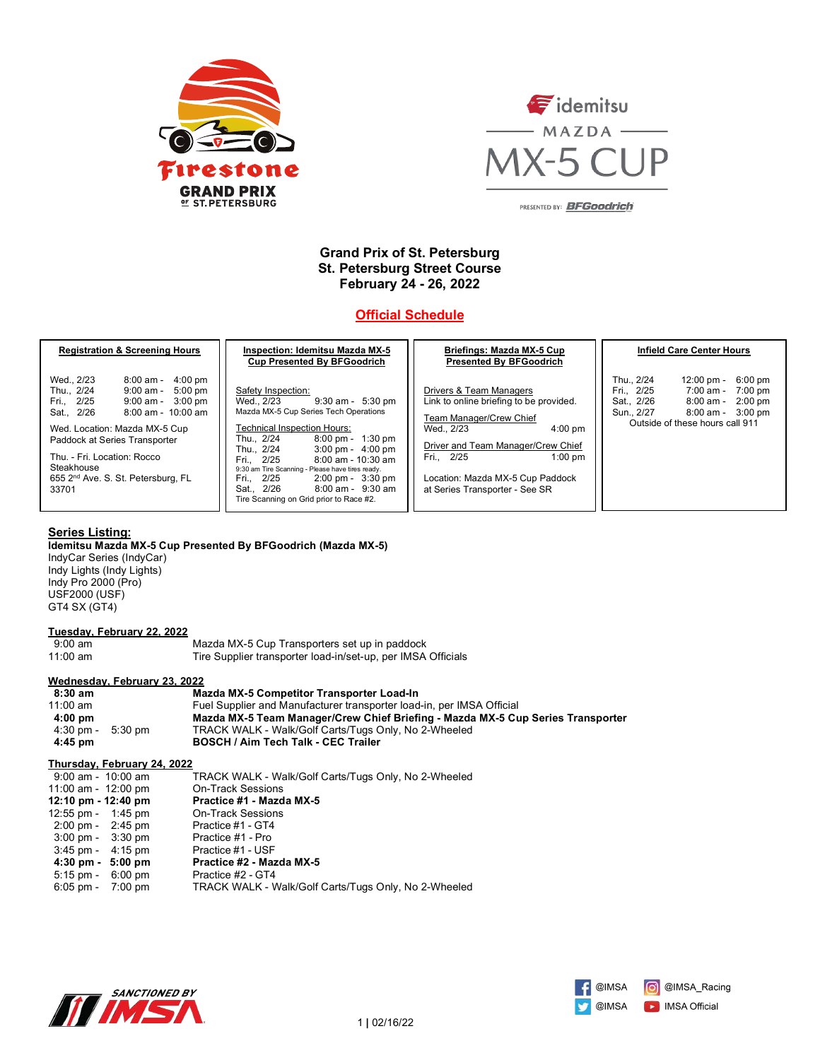



PRESENTED BY: BFGoodrich

## **Grand Prix of St. Petersburg St. Petersburg Street Course February 24 - 26, 2022**

# **Official Schedule**

| <b>Registration &amp; Screening Hours</b>                                                                                                                                                                                                                                                                                                                      | <b>Inspection: Idemitsu Mazda MX-5</b><br><b>Cup Presented By BFGoodrich</b>                                                                                                                                                                                                                                                                                                                                                                                                    | Briefings: Mazda MX-5 Cup<br><b>Presented By BFGoodrich</b>                                                                                                                                                                                                             | <b>Infield Care Center Hours</b>                                                                                                                                                                                    |
|----------------------------------------------------------------------------------------------------------------------------------------------------------------------------------------------------------------------------------------------------------------------------------------------------------------------------------------------------------------|---------------------------------------------------------------------------------------------------------------------------------------------------------------------------------------------------------------------------------------------------------------------------------------------------------------------------------------------------------------------------------------------------------------------------------------------------------------------------------|-------------------------------------------------------------------------------------------------------------------------------------------------------------------------------------------------------------------------------------------------------------------------|---------------------------------------------------------------------------------------------------------------------------------------------------------------------------------------------------------------------|
| Wed., 2/23<br>$4:00 \text{ pm}$<br>8:00 am -<br>Thu., 2/24<br>$5:00 \text{ pm}$<br>9:00 am -<br>Fri., 2/25<br>$3:00 \text{ pm}$<br>9:00 am -<br>Sat., 2/26<br>$8:00$ am - $10:00$ am<br>Wed. Location: Mazda MX-5 Cup<br>Paddock at Series Transporter<br>Thu. - Fri. Location: Rocco<br>Steakhouse<br>655 2 <sup>nd</sup> Ave. S. St. Petersburg, FL<br>33701 | Safety Inspection:<br>$9:30$ am - $5:30$ pm<br>Wed., 2/23<br>Mazda MX-5 Cup Series Tech Operations<br><b>Technical Inspection Hours:</b><br>$8:00 \text{ pm} - 1:30 \text{ pm}$<br>Thu., 2/24<br>$3:00 \text{ pm} - 4:00 \text{ pm}$<br>Thu., 2/24<br>$8:00$ am - 10:30 am<br>Fri., 2/25<br>9:30 am Tire Scanning - Please have tires ready.<br>Fri., 2/25<br>$2:00 \text{ pm} - 3:30 \text{ pm}$<br>Sat., 2/26<br>8:00 am - 9:30 am<br>Tire Scanning on Grid prior to Race #2. | Drivers & Team Managers<br>Link to online briefing to be provided.<br>Team Manager/Crew Chief<br>Wed., 2/23<br>$4:00 \text{ pm}$<br>Driver and Team Manager/Crew Chief<br>Fri., 2/25<br>$1:00$ pm<br>Location: Mazda MX-5 Cup Paddock<br>at Series Transporter - See SR | Thu., 2/24<br>$12:00 \text{ pm} -$<br>6:00 pm<br>Fri., 2/25<br>7:00 am -<br>7:00 pm<br>Sat., 2/26<br>8:00 am -<br>$2:00$ pm<br>Sun., 2/27<br>$8:00 \text{ am} - 3:00 \text{ pm}$<br>Outside of these hours call 911 |

#### **Series Listing:**

**Idemitsu Mazda MX-5 Cup Presented By BFGoodrich (Mazda MX-5)** 

IndyCar Series (IndyCar) Indy Lights (Indy Lights) Indy Pro 2000 (Pro) USF2000 (USF) GT4 SX (GT4)

#### **Tuesday, February 22, 2022**

| .                 |                                                              |
|-------------------|--------------------------------------------------------------|
| $9:00 \text{ am}$ | Mazda MX-5 Cup Transporters set up in paddock                |
| $11:00$ am        | Tire Supplier transporter load-in/set-up, per IMSA Officials |

#### **Wednesday, February 23, 2022**

| 8:30 am                             | <b>Mazda MX-5 Competitor Transporter Load-In</b>                                |
|-------------------------------------|---------------------------------------------------------------------------------|
| 11:00 $am$                          | Fuel Supplier and Manufacturer transporter load-in, per IMSA Official           |
| $4:00 \text{ pm}$                   | Mazda MX-5 Team Manager/Crew Chief Briefing - Mazda MX-5 Cup Series Transporter |
| $4:30 \text{ pm} - 5:30 \text{ pm}$ | TRACK WALK - Walk/Golf Carts/Tugs Only, No 2-Wheeled                            |
| $4:45$ pm                           | <b>BOSCH / Aim Tech Talk - CEC Trailer</b>                                      |

#### **Thursday, February 24, 2022**

| 9:00 am - 10:00 am                  | TRACK WALK - Walk/Golf Carts/Tugs Only, No 2-Wheeled |
|-------------------------------------|------------------------------------------------------|
| 11:00 am - 12:00 pm                 | <b>On-Track Sessions</b>                             |
| 12:10 pm - 12:40 pm                 | Practice #1 - Mazda MX-5                             |
| 12:55 pm - 1:45 pm                  | <b>On-Track Sessions</b>                             |
| $2:00 \text{ pm} - 2:45 \text{ pm}$ | Practice #1 - GT4                                    |
| $3:00 \text{ pm} - 3:30 \text{ pm}$ | Practice #1 - Pro                                    |
| $3:45 \text{ pm} - 4:15 \text{ pm}$ | Practice #1 - USF                                    |
| $4:30 \text{ pm} - 5:00 \text{ pm}$ | Practice #2 - Mazda MX-5                             |
| $5:15 \text{ pm} - 6:00 \text{ pm}$ | Practice #2 - GT4                                    |
| $6:05 \text{ pm} - 7:00 \text{ pm}$ | TRACK WALK - Walk/Golf Carts/Tugs Only, No 2-Wheeled |
|                                     |                                                      |



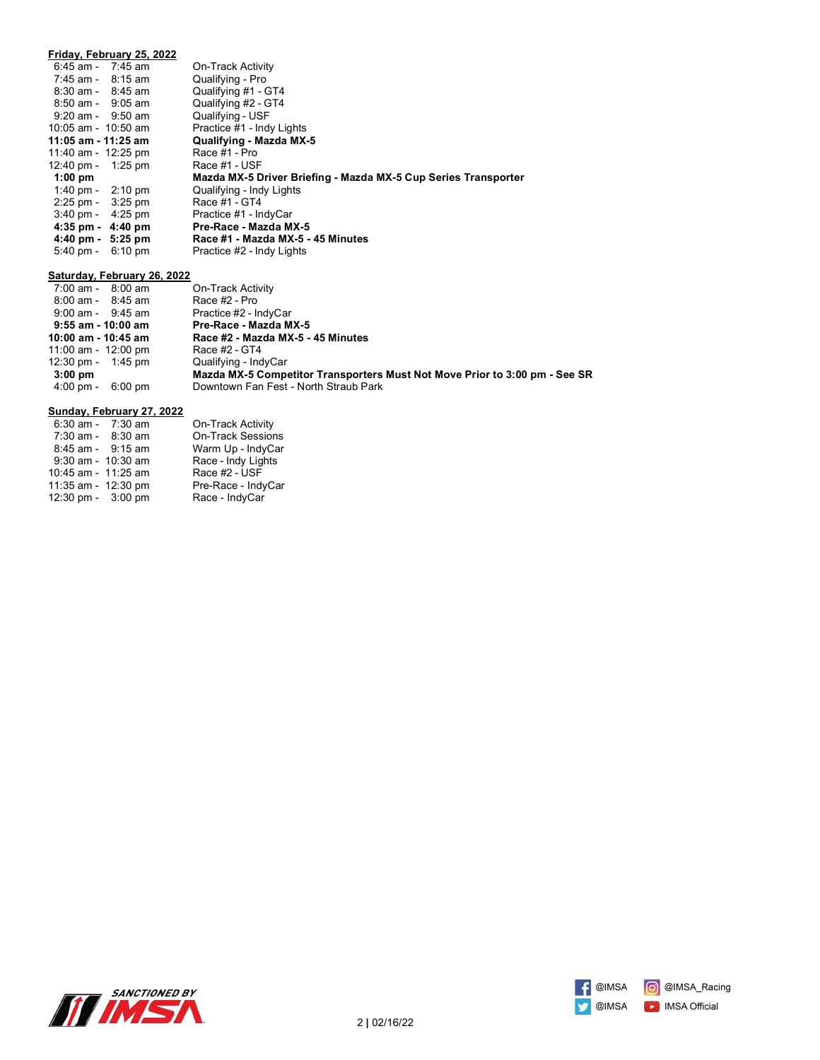|                                     | Friday, February 25, 2022 |                                                                |
|-------------------------------------|---------------------------|----------------------------------------------------------------|
| $6:45$ am - 7:45 am                 |                           | On-Track Activity                                              |
| 7:45 am - 8:15 am                   |                           | Qualifying - Pro                                               |
| $8:30$ am - $8:45$ am               |                           | Qualifying #1 - GT4                                            |
| $8:50$ am - $9:05$ am               |                           | Qualifying #2 - GT4                                            |
| $9:20$ am - $9:50$ am               |                           | Qualifying - USF                                               |
| 10:05 am - 10:50 am                 |                           | Practice #1 - Indy Lights                                      |
| 11:05 am - 11:25 am                 |                           | Qualifying - Mazda MX-5                                        |
| 11:40 am - 12:25 pm                 |                           | Race #1 - Pro                                                  |
| 12:40 pm - 1:25 pm                  |                           | Race #1 - USF                                                  |
| $1:00$ pm                           |                           | Mazda MX-5 Driver Briefing - Mazda MX-5 Cup Series Transporter |
| 1:40 pm - $2:10$ pm                 |                           | Qualifying - Indy Lights                                       |
| $2:25 \text{ pm} - 3:25 \text{ pm}$ |                           | Race #1 - GT4                                                  |
| $3:40 \text{ pm} - 4:25 \text{ pm}$ |                           | Practice #1 - IndyCar                                          |
| $4:35$ pm $-4:40$ pm                |                           | Pre-Race - Mazda MX-5                                          |
| $4:40 \text{ pm} - 5:25 \text{ pm}$ |                           | Race #1 - Mazda MX-5 - 45 Minutes                              |
| $5:40 \text{ pm} - 6:10 \text{ pm}$ |                           | Practice #2 - Indy Lights                                      |

#### **Saturday, February 26, 2022**

| $7:00$ am - $8:00$ am          | On-Track Activity                                                          |
|--------------------------------|----------------------------------------------------------------------------|
| $8:00$ am - $8:45$ am          | Race #2 - Pro                                                              |
| $9:00$ am - $9:45$ am          | Practice #2 - IndyCar                                                      |
| $9:55$ am - 10:00 am           | Pre-Race - Mazda MX-5                                                      |
| 10:00 am - 10:45 am            | Race #2 - Mazda MX-5 - 45 Minutes                                          |
| 11:00 am - 12:00 pm            | Race #2 - GT4                                                              |
| 12:30 pm - 1:45 pm             | Qualifying - IndyCar                                                       |
| $3:00$ pm                      | Mazda MX-5 Competitor Transporters Must Not Move Prior to 3:00 pm - See SR |
| 4:00 pm -<br>$6:00 \text{ pm}$ | Downtown Fan Fest - North Straub Park                                      |
|                                |                                                                            |

#### **Sunday, February 27, 2022**

|                     | $6:30$ am - 7:30 am    | On-Track Activity        |
|---------------------|------------------------|--------------------------|
|                     | $7:30$ am - $8:30$ am  | <b>On-Track Sessions</b> |
|                     | $8:45$ am - $9:15$ am  | Warm Up - IndyCar        |
|                     | $9:30$ am - $10:30$ am | Race - Indy Lights       |
| 10:45 am - 11:25 am |                        | Race #2 - USF            |
| 11:35 am - 12:30 pm |                        | Pre-Race - IndyCar       |
| 12:30 pm - 3:00 pm  |                        | Race - IndyCar           |



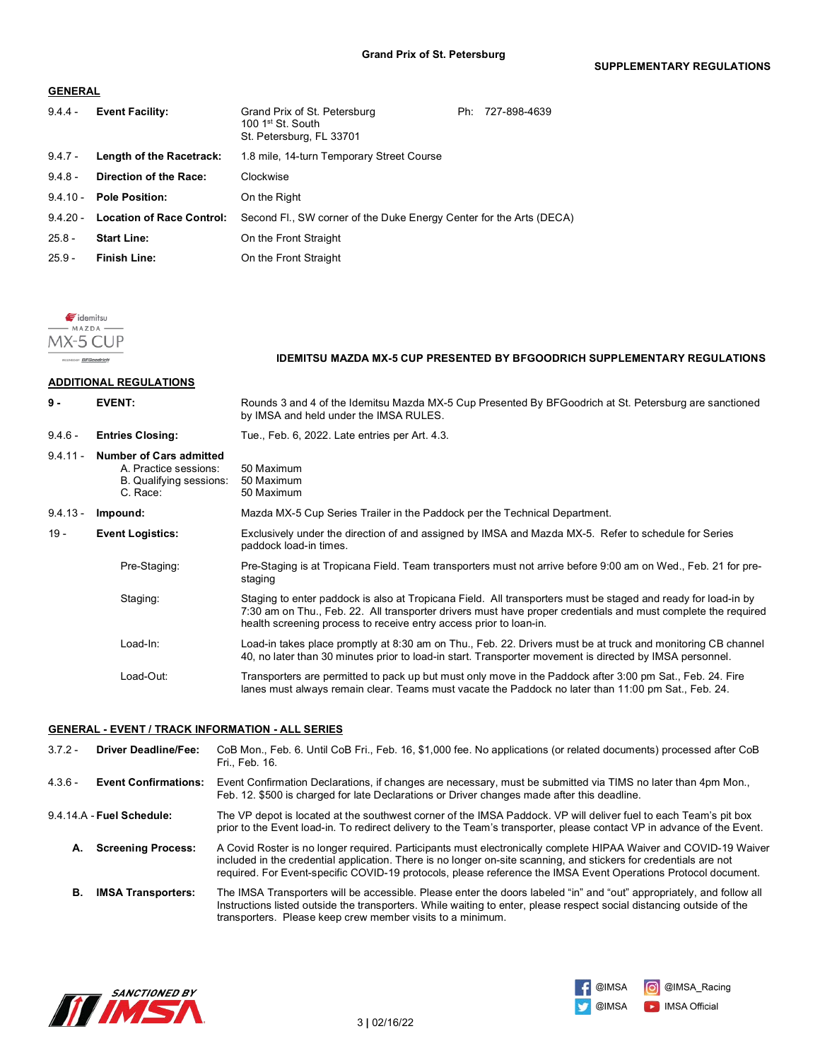#### **GENERAL**

| $9.4.4 -$  | <b>Event Facility:</b>           | Grand Prix of St. Petersburg<br>100 1 <sup>st</sup> St. South<br>St. Petersburg, FL 33701 | Ph: | 727-898-4639 |
|------------|----------------------------------|-------------------------------------------------------------------------------------------|-----|--------------|
| $9.4.7 -$  | Length of the Racetrack:         | 1.8 mile, 14-turn Temporary Street Course                                                 |     |              |
| $9.4.8 -$  | <b>Direction of the Race:</b>    | Clockwise                                                                                 |     |              |
|            | 9.4.10 - Pole Position:          | On the Right                                                                              |     |              |
| $9.4.20 -$ | <b>Location of Race Control:</b> | Second Fl., SW corner of the Duke Energy Center for the Arts (DECA)                       |     |              |
| $25.8 -$   | <b>Start Line:</b>               | On the Front Straight                                                                     |     |              |
| $25.9 -$   | <b>Finish Line:</b>              | On the Front Straight                                                                     |     |              |



**Dr. RFGoodrich** 

#### **IDEMITSU MAZDA MX-5 CUP PRESENTED BY BFGOODRICH SUPPLEMENTARY REGULATIONS**

#### **ADDITIONAL REGULATIONS**

| $9 -$      | <b>EVENT:</b>                                                                                  | Rounds 3 and 4 of the Idemitsu Mazda MX-5 Cup Presented By BFGoodrich at St. Petersburg are sanctioned<br>by IMSA and held under the IMSA RULES.                                                                                                                                                     |  |
|------------|------------------------------------------------------------------------------------------------|------------------------------------------------------------------------------------------------------------------------------------------------------------------------------------------------------------------------------------------------------------------------------------------------------|--|
| $9.4.6 -$  | <b>Entries Closing:</b>                                                                        | Tue., Feb. 6, 2022. Late entries per Art. 4.3.                                                                                                                                                                                                                                                       |  |
| $9.4.11 -$ | <b>Number of Cars admitted</b><br>A. Practice sessions:<br>B. Qualifying sessions:<br>C. Race: | 50 Maximum<br>50 Maximum<br>50 Maximum                                                                                                                                                                                                                                                               |  |
| $9.4.13 -$ | Impound:                                                                                       | Mazda MX-5 Cup Series Trailer in the Paddock per the Technical Department.                                                                                                                                                                                                                           |  |
| $19 -$     | <b>Event Logistics:</b>                                                                        | Exclusively under the direction of and assigned by IMSA and Mazda MX-5. Refer to schedule for Series<br>paddock load-in times.                                                                                                                                                                       |  |
|            | Pre-Staging:                                                                                   | Pre-Staging is at Tropicana Field. Team transporters must not arrive before 9:00 am on Wed., Feb. 21 for pre-<br>staging                                                                                                                                                                             |  |
|            | Staging:                                                                                       | Staging to enter paddock is also at Tropicana Field. All transporters must be staged and ready for load-in by<br>7:30 am on Thu., Feb. 22. All transporter drivers must have proper credentials and must complete the required<br>health screening process to receive entry access prior to loan-in. |  |
|            | Load-In:                                                                                       | Load-in takes place promptly at 8:30 am on Thu., Feb. 22. Drivers must be at truck and monitoring CB channel<br>40, no later than 30 minutes prior to load-in start. Transporter movement is directed by IMSA personnel.                                                                             |  |
|            | Load-Out:                                                                                      | Transporters are permitted to pack up but must only move in the Paddock after 3:00 pm Sat., Feb. 24. Fire<br>lanes must always remain clear. Teams must vacate the Paddock no later than 11:00 pm Sat., Feb. 24.                                                                                     |  |

**Grand Prix of St. Petersburg**

#### **GENERAL - EVENT / TRACK INFORMATION - ALL SERIES**

3.7.2 - **Driver Deadline/Fee:** CoB Mon., Feb. 6. Until CoB Fri., Feb. 16, \$1,000 fee. No applications (or related documents) processed after CoB Fri., Feb. 16. 4.3.6 - **Event Confirmations:** Event Confirmation Declarations, if changes are necessary, must be submitted via TIMS no later than 4pm Mon., Feb. 12. \$500 is charged for late Declarations or Driver changes made after this deadline. 9.4.14.A - **Fuel Schedule:** The VP depot is located at the southwest corner of the IMSA Paddock. VP will deliver fuel to each Team's pit box prior to the Event load-in. To redirect delivery to the Team's transporter, please contact VP in advance of the Event. **A. Screening Process:** A Covid Roster is no longer required. Participants must electronically complete HIPAA Waiver and COVID-19 Waiver included in the credential application. There is no longer on-site scanning, and stickers for credentials are not required. For Event-specific COVID-19 protocols, please reference the IMSA Event Operations Protocol document. **B. IMSA Transporters:** The IMSA Transporters will be accessible. Please enter the doors labeled "in" and "out" appropriately, and follow all Instructions listed outside the transporters. While waiting to enter, please respect social distancing outside of the transporters. Please keep crew member visits to a minimum.



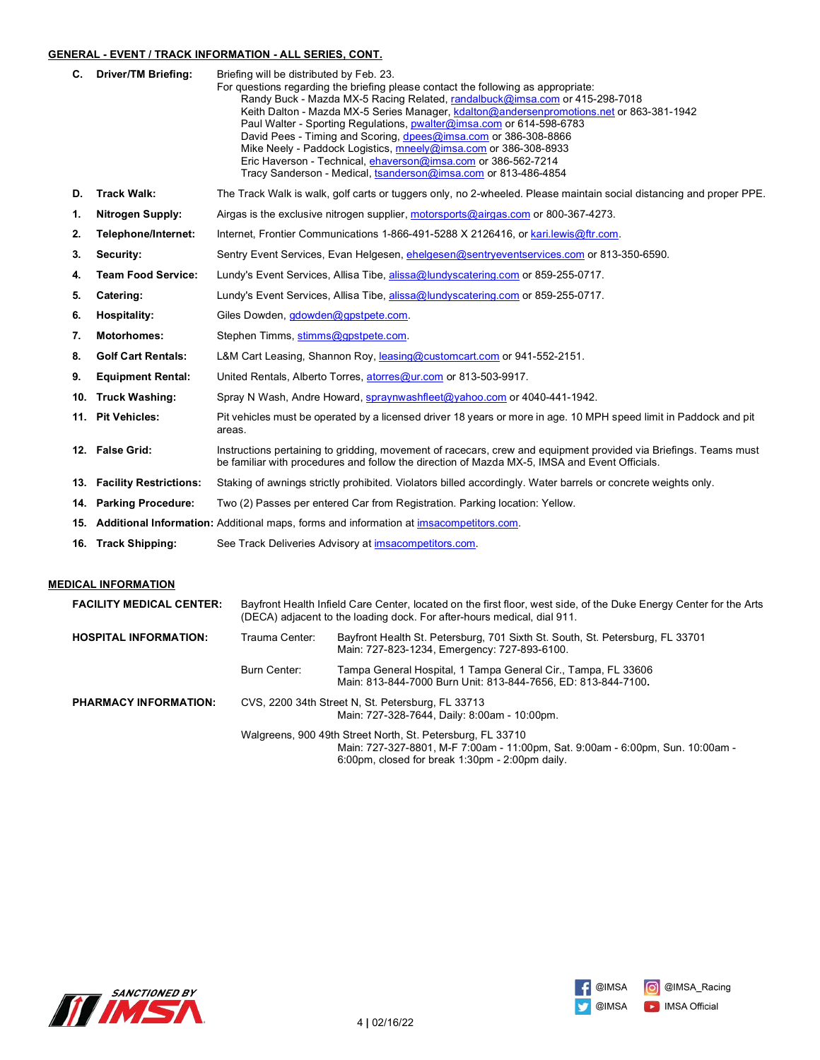### **GENERAL - EVENT / TRACK INFORMATION - ALL SERIES, CONT.**

|    | C. Driver/TM Briefing:     | Briefing will be distributed by Feb. 23.<br>For questions regarding the briefing please contact the following as appropriate:<br>Randy Buck - Mazda MX-5 Racing Related, randalbuck@imsa.com or 415-298-7018<br>Keith Dalton - Mazda MX-5 Series Manager, kdalton@andersenpromotions.net or 863-381-1942<br>Paul Walter - Sporting Regulations, pwalter@imsa.com or 614-598-6783<br>David Pees - Timing and Scoring, dpees@imsa.com or 386-308-8866<br>Mike Neely - Paddock Logistics, mneely@imsa.com or 386-308-8933<br>Eric Haverson - Technical, ehaverson@imsa.com or 386-562-7214<br>Tracy Sanderson - Medical, tsanderson@imsa.com or 813-486-4854 |
|----|----------------------------|-----------------------------------------------------------------------------------------------------------------------------------------------------------------------------------------------------------------------------------------------------------------------------------------------------------------------------------------------------------------------------------------------------------------------------------------------------------------------------------------------------------------------------------------------------------------------------------------------------------------------------------------------------------|
| D. | <b>Track Walk:</b>         | The Track Walk is walk, golf carts or tuggers only, no 2-wheeled. Please maintain social distancing and proper PPE.                                                                                                                                                                                                                                                                                                                                                                                                                                                                                                                                       |
| 1. | <b>Nitrogen Supply:</b>    | Airgas is the exclusive nitrogen supplier, motorsports@airgas.com or 800-367-4273.                                                                                                                                                                                                                                                                                                                                                                                                                                                                                                                                                                        |
| 2. | Telephone/Internet:        | Internet, Frontier Communications 1-866-491-5288 X 2126416, or kari.lewis@ftr.com.                                                                                                                                                                                                                                                                                                                                                                                                                                                                                                                                                                        |
| 3. | Security:                  | Sentry Event Services, Evan Helgesen, ehelgesen@sentryeventservices.com or 813-350-6590.                                                                                                                                                                                                                                                                                                                                                                                                                                                                                                                                                                  |
| 4. | <b>Team Food Service:</b>  | Lundy's Event Services, Allisa Tibe, alissa@lundyscatering.com or 859-255-0717.                                                                                                                                                                                                                                                                                                                                                                                                                                                                                                                                                                           |
| 5. | Catering:                  | Lundy's Event Services, Allisa Tibe, alissa@lundyscatering.com or 859-255-0717.                                                                                                                                                                                                                                                                                                                                                                                                                                                                                                                                                                           |
| 6. | <b>Hospitality:</b>        | Giles Dowden, gdowden@gpstpete.com.                                                                                                                                                                                                                                                                                                                                                                                                                                                                                                                                                                                                                       |
| 7. | <b>Motorhomes:</b>         | Stephen Timms, stimms@gpstpete.com.                                                                                                                                                                                                                                                                                                                                                                                                                                                                                                                                                                                                                       |
| 8. | <b>Golf Cart Rentals:</b>  | L&M Cart Leasing, Shannon Roy, leasing@customcart.com or 941-552-2151.                                                                                                                                                                                                                                                                                                                                                                                                                                                                                                                                                                                    |
| 9. | <b>Equipment Rental:</b>   | United Rentals, Alberto Torres, atorres@ur.com or 813-503-9917.                                                                                                                                                                                                                                                                                                                                                                                                                                                                                                                                                                                           |
|    | 10. Truck Washing:         | Spray N Wash, Andre Howard, spraynwashfleet@yahoo.com or 4040-441-1942.                                                                                                                                                                                                                                                                                                                                                                                                                                                                                                                                                                                   |
|    | 11. Pit Vehicles:          | Pit vehicles must be operated by a licensed driver 18 years or more in age. 10 MPH speed limit in Paddock and pit<br>areas.                                                                                                                                                                                                                                                                                                                                                                                                                                                                                                                               |
|    | 12. False Grid:            | Instructions pertaining to gridding, movement of racecars, crew and equipment provided via Briefings. Teams must<br>be familiar with procedures and follow the direction of Mazda MX-5, IMSA and Event Officials.                                                                                                                                                                                                                                                                                                                                                                                                                                         |
|    | 13. Facility Restrictions: | Staking of awnings strictly prohibited. Violators billed accordingly. Water barrels or concrete weights only.                                                                                                                                                                                                                                                                                                                                                                                                                                                                                                                                             |
|    | 14. Parking Procedure:     | Two (2) Passes per entered Car from Registration. Parking location: Yellow.                                                                                                                                                                                                                                                                                                                                                                                                                                                                                                                                                                               |
|    |                            | 15. Additional Information: Additional maps, forms and information at imsacompetitors.com.                                                                                                                                                                                                                                                                                                                                                                                                                                                                                                                                                                |
|    | _________                  |                                                                                                                                                                                                                                                                                                                                                                                                                                                                                                                                                                                                                                                           |

16. **Track Shipping:** See Track Deliveries Advisory at **imsacompetitors.com**.

# **MEDICAL INFORMATION**

| <b>FACILITY MEDICAL CENTER:</b>                                                   | Bayfront Health Infield Care Center, located on the first floor, west side, of the Duke Energy Center for the Arts<br>(DECA) adjacent to the loading dock. For after-hours medical, dial 911. |                                                                                                                                                                                                 |
|-----------------------------------------------------------------------------------|-----------------------------------------------------------------------------------------------------------------------------------------------------------------------------------------------|-------------------------------------------------------------------------------------------------------------------------------------------------------------------------------------------------|
| <b>HOSPITAL INFORMATION:</b>                                                      | Trauma Center:                                                                                                                                                                                | Bayfront Health St. Petersburg, 701 Sixth St. South, St. Petersburg, FL 33701<br>Main: 727-823-1234, Emergency: 727-893-6100.                                                                   |
|                                                                                   | Burn Center:                                                                                                                                                                                  | Tampa General Hospital, 1 Tampa General Cir., Tampa, FL 33606<br>Main: 813-844-7000 Burn Unit: 813-844-7656, ED: 813-844-7100.                                                                  |
| CVS, 2200 34th Street N, St. Petersburg, FL 33713<br><b>PHARMACY INFORMATION:</b> |                                                                                                                                                                                               | Main: 727-328-7644, Daily: 8:00am - 10:00pm.                                                                                                                                                    |
|                                                                                   |                                                                                                                                                                                               | Walgreens, 900 49th Street North, St. Petersburg, FL 33710<br>Main: 727-327-8801, M-F 7:00am - 11:00pm, Sat. 9:00am - 6:00pm, Sun. 10:00am -<br>6:00pm, closed for break 1:30pm - 2:00pm daily. |